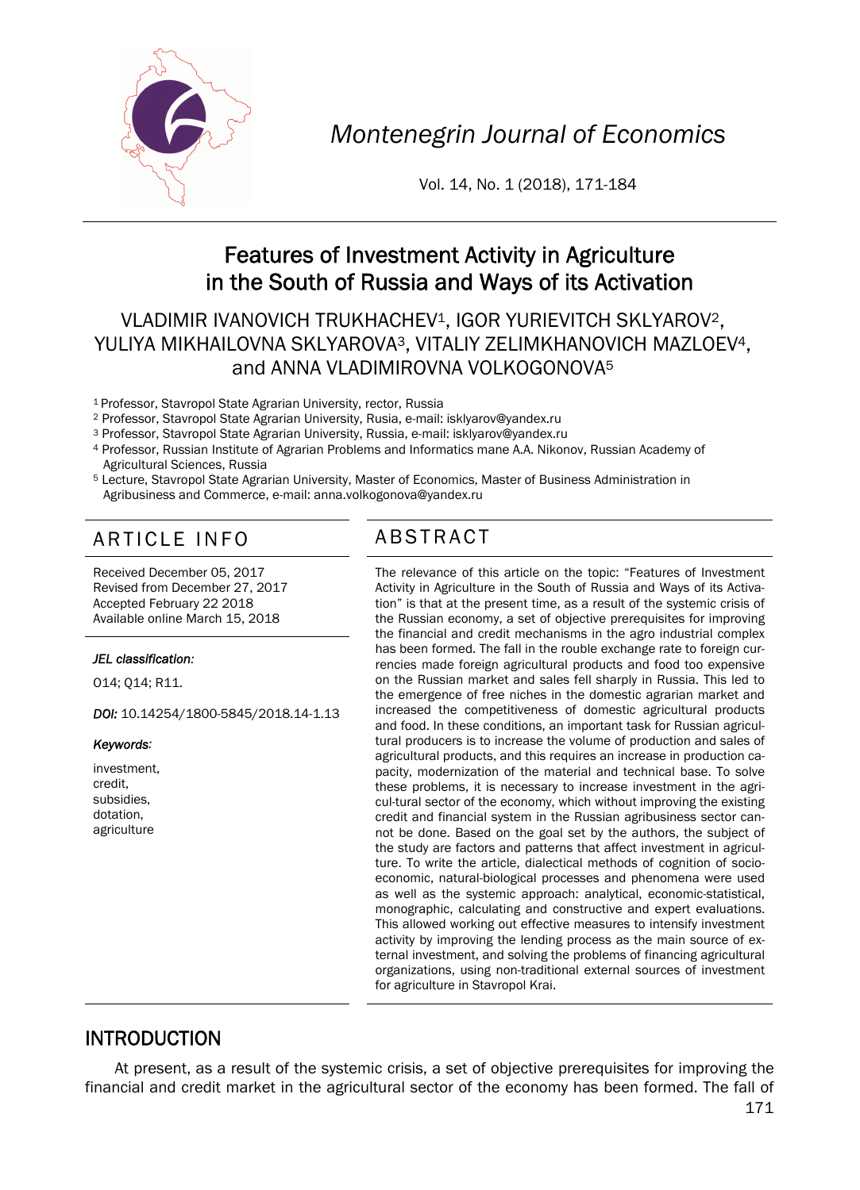

*Montenegrin Journal of Economics* 

Vol. 14, No. 1 (2018), 171-184

# Features of Investment Activity in Agriculture in the South of Russia and Ways of its Activation

### VLADIMIR IVANOVICH TRUKHACHEV1, IGOR YURIEVITCH SKLYAROV2, YULIYA MIKHAILOVNA SKLYAROVA3, VITALIY ZELIMKHANOVICH MAZLOEV4, and ANNA VLADIMIROVNA VOLKOGONOVA<sup>5</sup>

- 1 Professor, Stavropol State Agrarian University, rector, Russia
- 
- <sup>2</sup> Professor, Stavropol State Agrarian University, Rusia, e-mail: isklyarov@yandex.ru<br><sup>3</sup> Professor, Stavropol State Agrarian University, Russia, e-mail: isklyarov@yandex.ru
- 4 Professor, Russian Institute of Agrarian Problems and Informatics mane A.A. Nikonov, Russian Academy of Agricultural Sciences, Russia
- 5 Lecture, Stavropol State Agrarian University, Master of Economics, Master of Business Administration in Agribusiness and Commerce, e-mail: anna.volkogonova@yandex.ru

# ARTICLE INFO ABSTRACT

Received December 05, 2017 Revised from December 27, 2017 Accepted February 22 2018 Available online March 15, 2018

#### *JEL classification:*

O14; Q14; R11.

*DOI:* 10.14254/1800-5845/2018.14-1.13

*Keywords:* 

investment, credit, subsidies, dotation, agriculture

 The relevance of this article on the topic: "Features of Investment Activity in Agriculture in the South of Russia and Ways of its Activation" is that at the present time, as a result of the systemic crisis of the Russian economy, a set of objective prerequisites for improving the financial and credit mechanisms in the agro industrial complex has been formed. The fall in the rouble exchange rate to foreign currencies made foreign agricultural products and food too expensive on the Russian market and sales fell sharply in Russia. This led to the emergence of free niches in the domestic agrarian market and increased the competitiveness of domestic agricultural products and food. In these conditions, an important task for Russian agricultural producers is to increase the volume of production and sales of agricultural products, and this requires an increase in production capacity, modernization of the material and technical base. To solve these problems, it is necessary to increase investment in the agricul-tural sector of the economy, which without improving the existing credit and financial system in the Russian agribusiness sector cannot be done. Based on the goal set by the authors, the subject of the study are factors and patterns that affect investment in agriculture. To write the article, dialectical methods of cognition of socioeconomic, natural-biological processes and phenomena were used as well as the systemic approach: analytical, economic-statistical, monographic, calculating and constructive and expert evaluations. This allowed working out effective measures to intensify investment activity by improving the lending process as the main source of external investment, and solving the problems of financing agricultural organizations, using non-traditional external sources of investment for agriculture in Stavropol Krai.

## INTRODUCTION

At present, as a result of the systemic crisis, a set of objective prerequisites for improving the financial and credit market in the agricultural sector of the economy has been formed. The fall of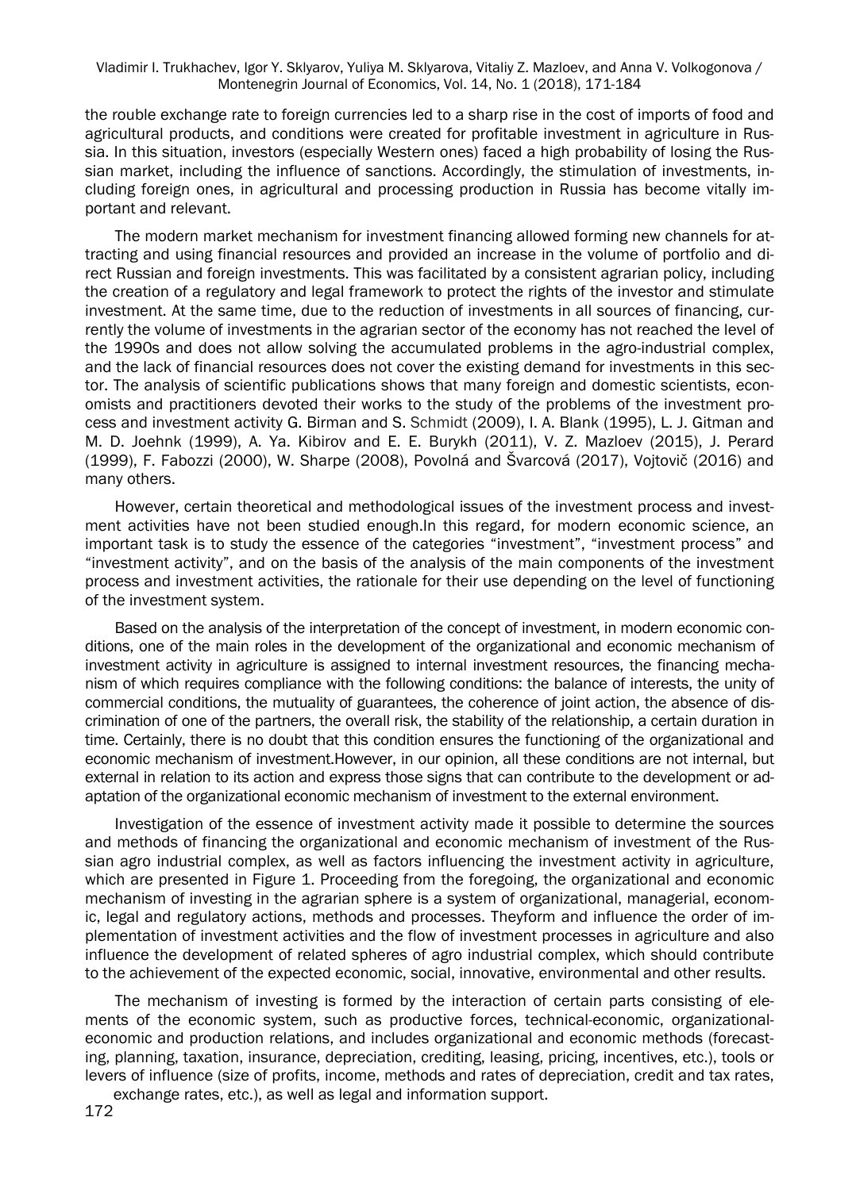the rouble exchange rate to foreign currencies led to a sharp rise in the cost of imports of food and agricultural products, and conditions were created for profitable investment in agriculture in Russia. In this situation, investors (especially Western ones) faced a high probability of losing the Russian market, including the influence of sanctions. Accordingly, the stimulation of investments, including foreign ones, in agricultural and processing production in Russia has become vitally important and relevant.

The modern market mechanism for investment financing allowed forming new channels for attracting and using financial resources and provided an increase in the volume of portfolio and direct Russian and foreign investments. This was facilitated by a consistent agrarian policy, including the creation of a regulatory and legal framework to protect the rights of the investor and stimulate investment. At the same time, due to the reduction of investments in all sources of financing, currently the volume of investments in the agrarian sector of the economy has not reached the level of the 1990s and does not allow solving the accumulated problems in the agro-industrial complex, and the lack of financial resources does not cover the existing demand for investments in this sector. The analysis of scientific publications shows that many foreign and domestic scientists, economists and practitioners devoted their works to the study of the problems of the investment process and investment activity G. Birman and S. Schmidt (2009), I. A. Blank (1995), L. J. Gitman and M. D. Joehnk (1999), A. Ya. Kibirov and E. E. Burykh (2011), V. Z. Mazloev (2015), J. Perard (1999), F. Fabozzi (2000), W. Sharpe (2008), Povolná and Švarcová (2017), Vojtovič (2016) and many others.

However, certain theoretical and methodological issues of the investment process and investment activities have not been studied enough.In this regard, for modern economic science, an important task is to study the essence of the categories "investment", "investment process" and "investment activity", and on the basis of the analysis of the main components of the investment process and investment activities, the rationale for their use depending on the level of functioning of the investment system.

Based on the analysis of the interpretation of the concept of investment, in modern economic conditions, one of the main roles in the development of the organizational and economic mechanism of investment activity in agriculture is assigned to internal investment resources, the financing mechanism of which requires compliance with the following conditions: the balance of interests, the unity of commercial conditions, the mutuality of guarantees, the coherence of joint action, the absence of discrimination of one of the partners, the overall risk, the stability of the relationship, a certain duration in time. Certainly, there is no doubt that this condition ensures the functioning of the organizational and economic mechanism of investment.However, in our opinion, all these conditions are not internal, but external in relation to its action and express those signs that can contribute to the development or adaptation of the organizational economic mechanism of investment to the external environment.

Investigation of the essence of investment activity made it possible to determine the sources and methods of financing the organizational and economic mechanism of investment of the Russian agro industrial complex, as well as factors influencing the investment activity in agriculture, which are presented in Figure 1. Proceeding from the foregoing, the organizational and economic mechanism of investing in the agrarian sphere is a system of organizational, managerial, economic, legal and regulatory actions, methods and processes. Theyform and influence the order of implementation of investment activities and the flow of investment processes in agriculture and also influence the development of related spheres of agro industrial complex, which should contribute to the achievement of the expected economic, social, innovative, environmental and other results.

The mechanism of investing is formed by the interaction of certain parts consisting of elements of the economic system, such as productive forces, technical-economic, organizationaleconomic and production relations, and includes organizational and economic methods (forecasting, planning, taxation, insurance, depreciation, crediting, leasing, pricing, incentives, etc.), tools or levers of influence (size of profits, income, methods and rates of depreciation, credit and tax rates, exchange rates, etc.), as well as legal and information support.

172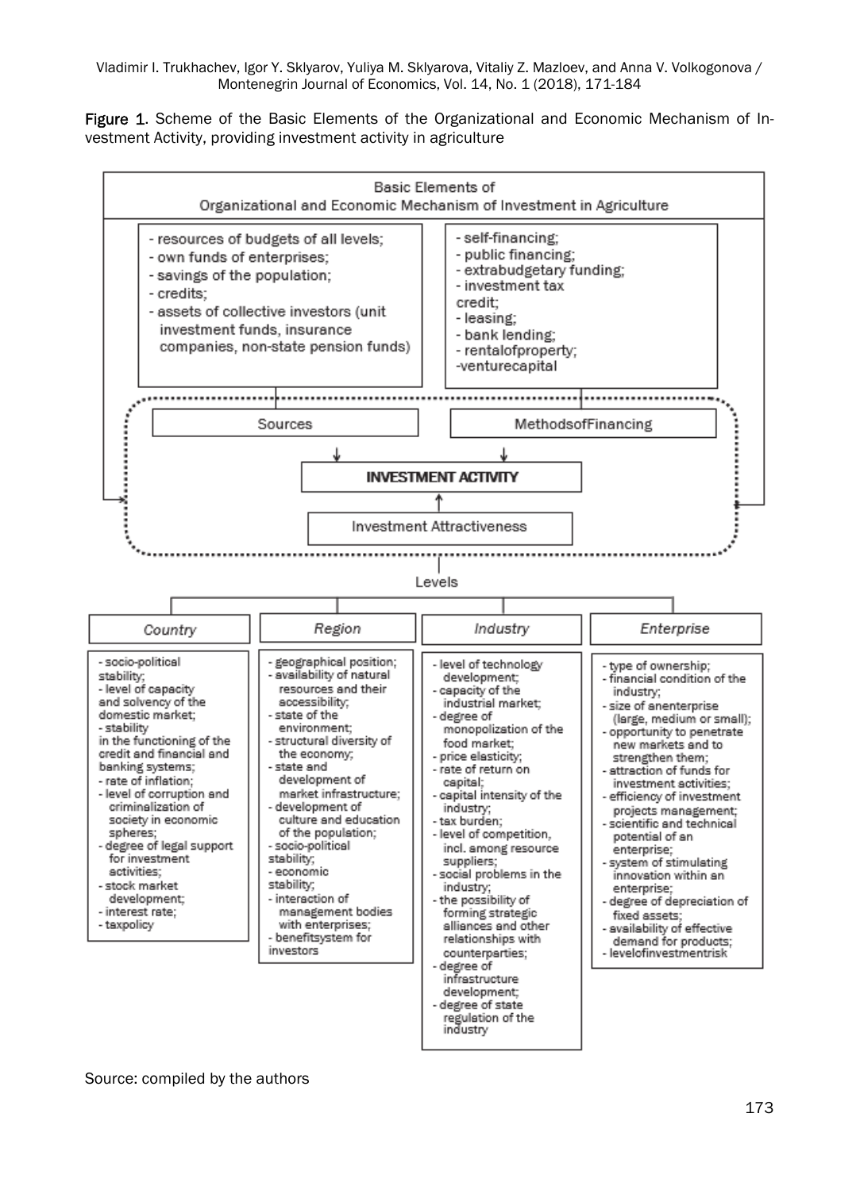Figure 1. Scheme of the Basic Elements of the Organizational and Economic Mechanism of Investment Activity, providing investment activity in agriculture

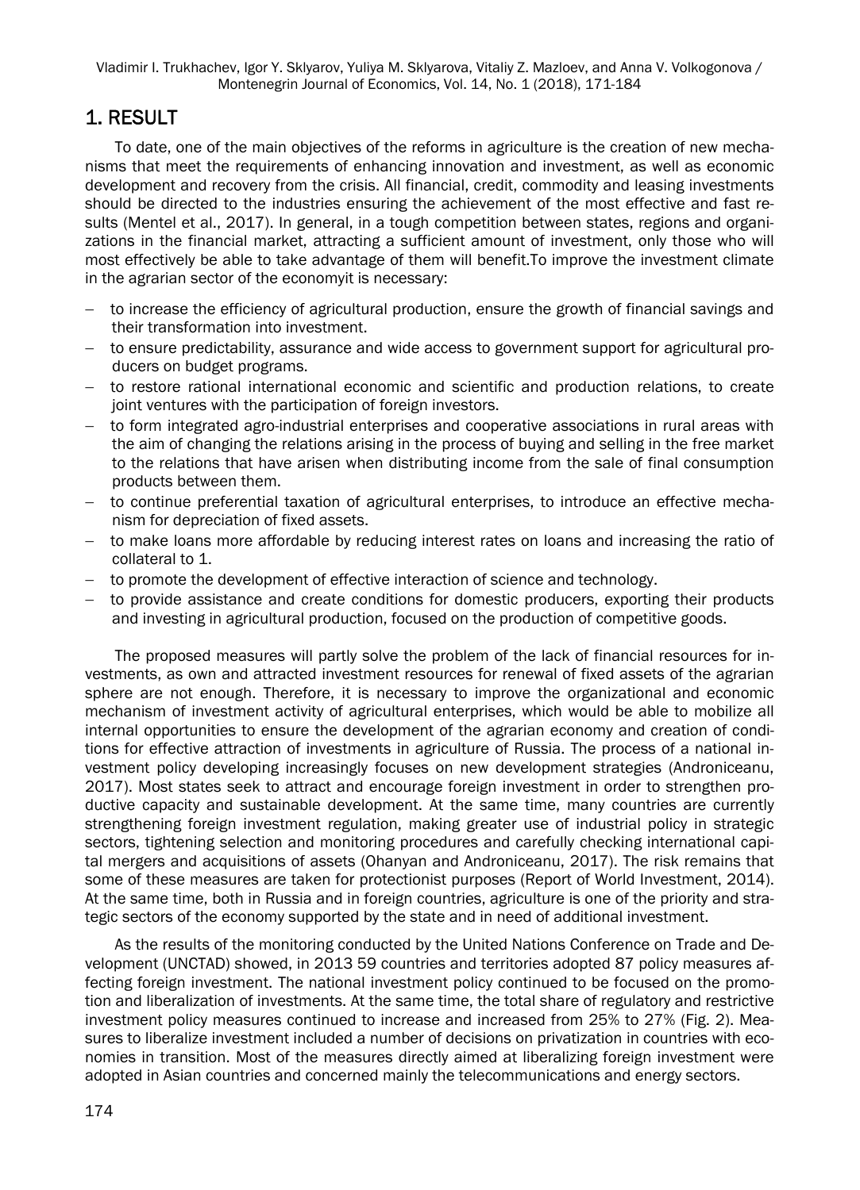## 1. RESULT

To date, one of the main objectives of the reforms in agriculture is the creation of new mechanisms that meet the requirements of enhancing innovation and investment, as well as economic development and recovery from the crisis. All financial, credit, commodity and leasing investments should be directed to the industries ensuring the achievement of the most effective and fast results (Mentel et al., 2017). In general, in a tough competition between states, regions and organizations in the financial market, attracting a sufficient amount of investment, only those who will most effectively be able to take advantage of them will benefit.To improve the investment climate in the agrarian sector of the economyit is necessary:

- $-$  to increase the efficiency of agricultural production, ensure the growth of financial savings and their transformation into investment.
- to ensure predictability, assurance and wide access to government support for agricultural producers on budget programs.
- to restore rational international economic and scientific and production relations, to create joint ventures with the participation of foreign investors.
- to form integrated agro-industrial enterprises and cooperative associations in rural areas with the aim of changing the relations arising in the process of buying and selling in the free market to the relations that have arisen when distributing income from the sale of final consumption products between them.
- $-$  to continue preferential taxation of agricultural enterprises, to introduce an effective mechanism for depreciation of fixed assets.
- to make loans more affordable by reducing interest rates on loans and increasing the ratio of collateral to 1.
- $-$  to promote the development of effective interaction of science and technology.
- to provide assistance and create conditions for domestic producers, exporting their products and investing in agricultural production, focused on the production of competitive goods.

The proposed measures will partly solve the problem of the lack of financial resources for investments, as own and attracted investment resources for renewal of fixed assets of the agrarian sphere are not enough. Therefore, it is necessary to improve the organizational and economic mechanism of investment activity of agricultural enterprises, which would be able to mobilize all internal opportunities to ensure the development of the agrarian economy and creation of conditions for effective attraction of investments in agriculture of Russia. The process of a national investment policy developing increasingly focuses on new development strategies (Androniceanu, 2017). Most states seek to attract and encourage foreign investment in order to strengthen productive capacity and sustainable development. At the same time, many countries are currently strengthening foreign investment regulation, making greater use of industrial policy in strategic sectors, tightening selection and monitoring procedures and carefully checking international capital mergers and acquisitions of assets (Ohanyan and Androniceanu, 2017). The risk remains that some of these measures are taken for protectionist purposes (Report of World Investment, 2014). At the same time, both in Russia and in foreign countries, agriculture is one of the priority and strategic sectors of the economy supported by the state and in need of additional investment.

As the results of the monitoring conducted by the United Nations Conference on Trade and Development (UNCTAD) showed, in 2013 59 countries and territories adopted 87 policy measures affecting foreign investment. The national investment policy continued to be focused on the promotion and liberalization of investments. At the same time, the total share of regulatory and restrictive investment policy measures continued to increase and increased from 25% to 27% (Fig. 2). Measures to liberalize investment included a number of decisions on privatization in countries with economies in transition. Most of the measures directly aimed at liberalizing foreign investment were adopted in Asian countries and concerned mainly the telecommunications and energy sectors.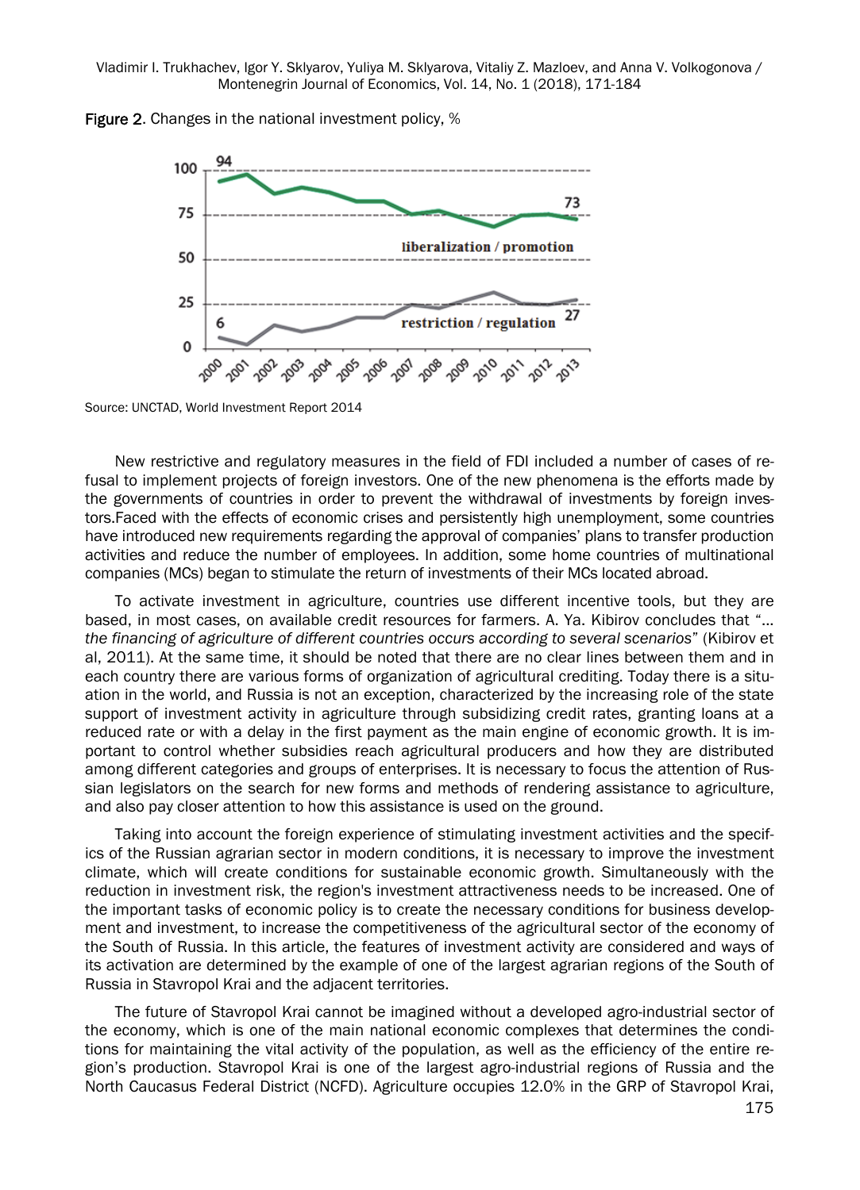



Source: UNCTAD, World Investment Report 2014

New restrictive and regulatory measures in the field of FDI included a number of cases of refusal to implement projects of foreign investors. One of the new phenomena is the efforts made by the governments of countries in order to prevent the withdrawal of investments by foreign investors.Faced with the effects of economic crises and persistently high unemployment, some countries have introduced new requirements regarding the approval of companies' plans to transfer production activities and reduce the number of employees. In addition, some home countries of multinational companies (MCs) began to stimulate the return of investments of their MCs located abroad.

To activate investment in agriculture, countries use different incentive tools, but they are based, in most cases, on available credit resources for farmers. A. Ya. Kibirov concludes that "... *the financing of agriculture of different countries occurs according to several scenarios*" (Kibirov et al, 2011). At the same time, it should be noted that there are no clear lines between them and in each country there are various forms of organization of agricultural crediting. Today there is a situation in the world, and Russia is not an exception, characterized by the increasing role of the state support of investment activity in agriculture through subsidizing credit rates, granting loans at a reduced rate or with a delay in the first payment as the main engine of economic growth. It is important to control whether subsidies reach agricultural producers and how they are distributed among different categories and groups of enterprises. It is necessary to focus the attention of Russian legislators on the search for new forms and methods of rendering assistance to agriculture, and also pay closer attention to how this assistance is used on the ground.

Taking into account the foreign experience of stimulating investment activities and the specifics of the Russian agrarian sector in modern conditions, it is necessary to improve the investment climate, which will create conditions for sustainable economic growth. Simultaneously with the reduction in investment risk, the region's investment attractiveness needs to be increased. One of the important tasks of economic policy is to create the necessary conditions for business development and investment, to increase the competitiveness of the agricultural sector of the economy of the South of Russia. In this article, the features of investment activity are considered and ways of its activation are determined by the example of one of the largest agrarian regions of the South of Russia in Stavropol Krai and the adjacent territories.

The future of Stavropol Krai cannot be imagined without a developed agro-industrial sector of the economy, which is one of the main national economic complexes that determines the conditions for maintaining the vital activity of the population, as well as the efficiency of the entire region's production. Stavropol Krai is one of the largest agro-industrial regions of Russia and the North Caucasus Federal District (NCFD). Agriculture occupies 12.0% in the GRP of Stavropol Krai,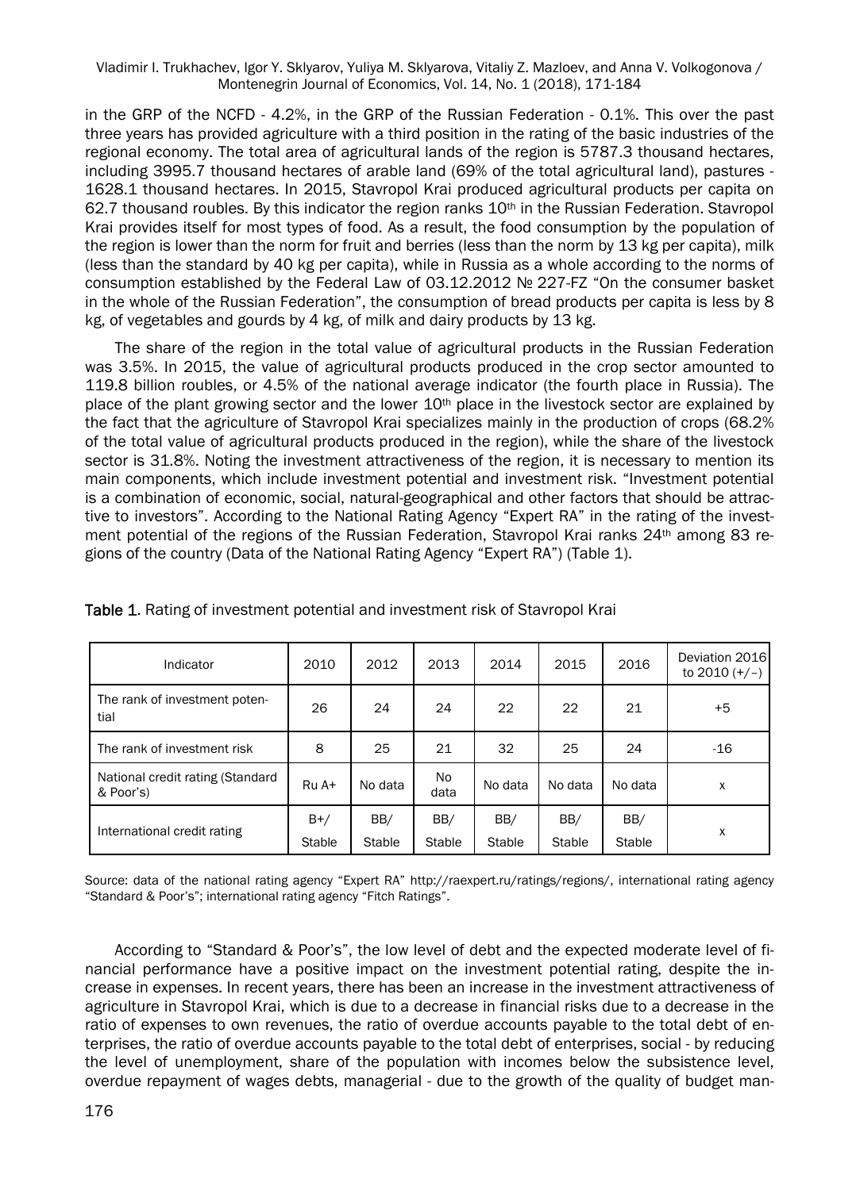in the GRP of the NCFD - 4.2%, in the GRP of the Russian Federation - 0.1%. This over the past three years has provided agriculture with a third position in the rating of the basic industries of the regional economy. The total area of agricultural lands of the region is 5787.3 thousand hectares, including 3995.7 thousand hectares of arable land (69% of the total agricultural land), pastures - 1628.1 thousand hectares. In 2015, Stavropol Krai produced agricultural products per capita on 62.7 thousand roubles. By this indicator the region ranks  $10<sup>th</sup>$  in the Russian Federation. Stavropol Krai provides itself for most types of food. As a result, the food consumption by the population of the region is lower than the norm for fruit and berries (less than the norm by 13 kg per capita), milk (less than the standard by 40 kg per capita), while in Russia as a whole according to the norms of consumption established by the Federal Law of 03.12.2012 № 227-FZ "On the consumer basket in the whole of the Russian Federation", the consumption of bread products per capita is less by 8 kg, of vegetables and gourds by 4 kg, of milk and dairy products by 13 kg.

The share of the region in the total value of agricultural products in the Russian Federation was 3.5%. In 2015, the value of agricultural products produced in the crop sector amounted to 119.8 billion roubles, or 4.5% of the national average indicator (the fourth place in Russia). The place of the plant growing sector and the lower 10<sup>th</sup> place in the livestock sector are explained by the fact that the agriculture of Stavropol Krai specializes mainly in the production of crops (68.2% of the total value of agricultural products produced in the region), while the share of the livestock sector is 31.8%. Noting the investment attractiveness of the region, it is necessary to mention its main components, which include investment potential and investment risk. "Investment potential is a combination of economic, social, natural-geographical and other factors that should be attractive to investors". According to the National Rating Agency "Expert RA" in the rating of the investment potential of the regions of the Russian Federation, Stavropol Krai ranks 24<sup>th</sup> among 83 regions of the country (Data of the National Rating Agency "Expert RA") (Table 1).

| Indicator                                     | 2010                   | 2012          | 2013                 | 2014                 | 2015          | 2016          | Deviation 2016<br>to $2010 (+/-)$ |
|-----------------------------------------------|------------------------|---------------|----------------------|----------------------|---------------|---------------|-----------------------------------|
| The rank of investment poten-<br>tial         | 26                     | 24            | 24                   | 22                   | 22            | 21            | $+5$                              |
| The rank of investment risk                   | 8                      | 25            | 21                   | 32                   | 25            | 24            | $-16$                             |
| National credit rating (Standard<br>& Poor's) | $RuA+$                 | No data       | <b>No</b><br>data    | No data              | No data       | No data       | x                                 |
| International credit rating                   | $B+/$<br><b>Stable</b> | BB/<br>Stable | BB/<br><b>Stable</b> | BB/<br><b>Stable</b> | BB/<br>Stable | BB/<br>Stable | X                                 |

Table 1. Rating of investment potential and investment risk of Stavropol Krai

Source: data of the national rating agency "Expert RA" http://raexpert.ru/ratings/regions/, international rating agency "Standard & Poor's"; international rating agency "Fitch Ratings".

According to "Standard & Poor's", the low level of debt and the expected moderate level of financial performance have a positive impact on the investment potential rating, despite the increase in expenses. In recent years, there has been an increase in the investment attractiveness of agriculture in Stavropol Krai, which is due to a decrease in financial risks due to a decrease in the ratio of expenses to own revenues, the ratio of overdue accounts payable to the total debt of enterprises, the ratio of overdue accounts payable to the total debt of enterprises, social - by reducing the level of unemployment, share of the population with incomes below the subsistence level, overdue repayment of wages debts, managerial - due to the growth of the quality of budget man-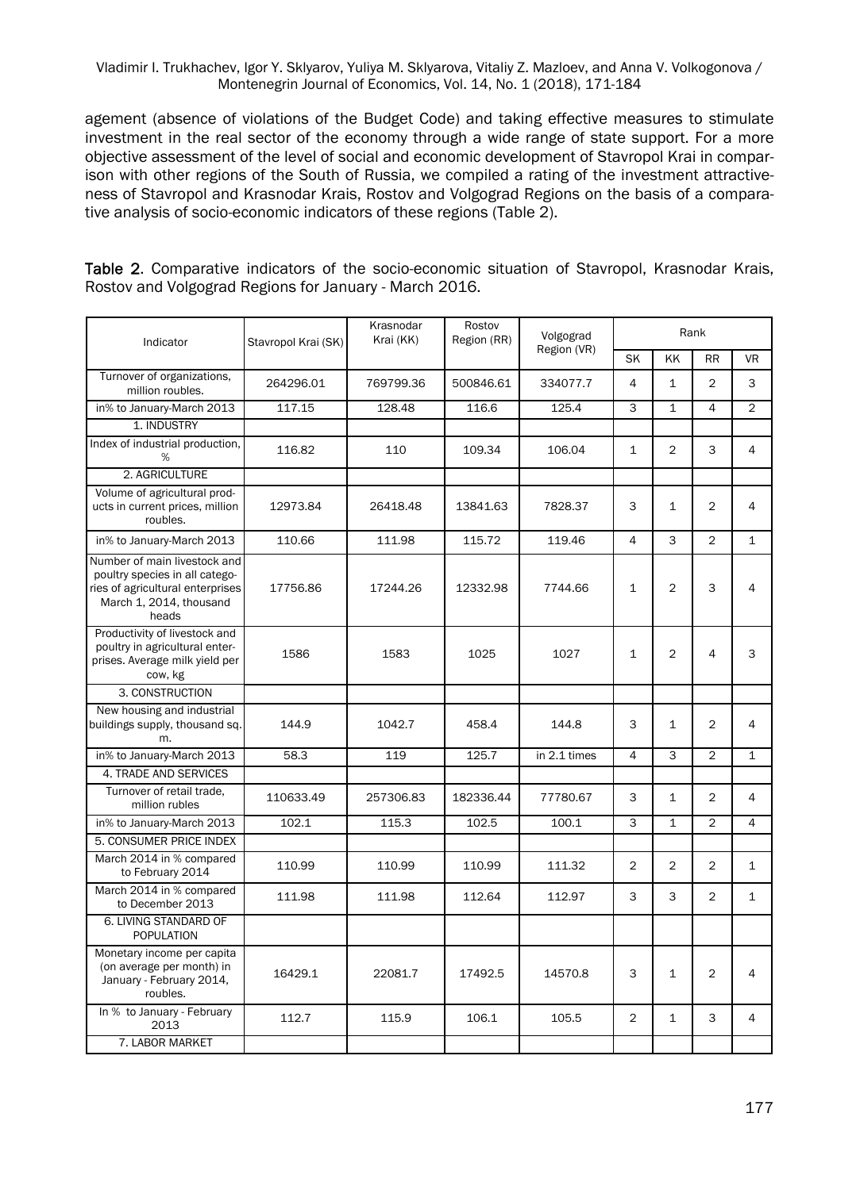agement (absence of violations of the Budget Code) and taking effective measures to stimulate investment in the real sector of the economy through a wide range of state support. For a more objective assessment of the level of social and economic development of Stavropol Krai in comparison with other regions of the South of Russia, we compiled a rating of the investment attractiveness of Stavropol and Krasnodar Krais, Rostov and Volgograd Regions on the basis of a comparative analysis of socio-economic indicators of these regions (Table 2).

Table 2. Comparative indicators of the socio-economic situation of Stavropol, Krasnodar Krais, Rostov and Volgograd Regions for January - March 2016.

| Indicator                                                                                                                              | Stavropol Krai (SK) | Krasnodar<br>Krai (KK) | Rostov<br>Region (RR) | Volgograd    |                |                | Rank           |                |
|----------------------------------------------------------------------------------------------------------------------------------------|---------------------|------------------------|-----------------------|--------------|----------------|----------------|----------------|----------------|
|                                                                                                                                        |                     |                        |                       | Region (VR)  | <b>SK</b>      | KK             | <b>RR</b>      | <b>VR</b>      |
| Turnover of organizations,<br>million roubles.                                                                                         | 264296.01           | 769799.36              | 500846.61             | 334077.7     | $\overline{4}$ | $\mathbf{1}$   | $\overline{2}$ | 3              |
| in% to January-March 2013                                                                                                              | 117.15              | 128.48                 | 116.6                 | 125.4        | 3              | $\mathbf{1}$   | $\overline{4}$ | $\overline{2}$ |
| 1. INDUSTRY                                                                                                                            |                     |                        |                       |              |                |                |                |                |
| Index of industrial production,<br>%                                                                                                   | 116.82              | 110                    | 109.34                | 106.04       | $\mathbf{1}$   | $\overline{2}$ | 3              | 4              |
| 2. AGRICULTURE                                                                                                                         |                     |                        |                       |              |                |                |                |                |
| Volume of agricultural prod-<br>ucts in current prices, million<br>roubles.                                                            | 12973.84            | 26418.48               | 13841.63              | 7828.37      | 3              | 1              | $\overline{c}$ | 4              |
| in% to January-March 2013                                                                                                              | 110.66              | 111.98                 | 115.72                | 119.46       | 4              | 3              | $\overline{2}$ | $\mathbf{1}$   |
| Number of main livestock and<br>poultry species in all catego-<br>ries of agricultural enterprises<br>March 1, 2014, thousand<br>heads | 17756.86            | 17244.26               | 12332.98              | 7744.66      | $\mathbf{1}$   | $\overline{2}$ | 3              | 4              |
| Productivity of livestock and<br>poultry in agricultural enter-<br>prises. Average milk yield per<br>cow, kg                           | 1586                | 1583                   | 1025                  | 1027         | $\mathbf{1}$   | $\overline{2}$ | 4              | 3              |
| 3. CONSTRUCTION                                                                                                                        |                     |                        |                       |              |                |                |                |                |
| New housing and industrial<br>buildings supply, thousand sq.<br>m.                                                                     | 144.9               | 1042.7                 | 458.4                 | 144.8        | 3              | 1              | $\overline{2}$ | 4              |
| in% to January-March 2013                                                                                                              | 58.3                | 119                    | 125.7                 | in 2.1 times | $\overline{4}$ | 3              | $\overline{2}$ | $\mathbf{1}$   |
| 4. TRADE AND SERVICES                                                                                                                  |                     |                        |                       |              |                |                |                |                |
| Turnover of retail trade.<br>million rubles                                                                                            | 110633.49           | 257306.83              | 182336.44             | 77780.67     | 3              | $\mathbf{1}$   | $\overline{2}$ | 4              |
| in% to January-March 2013                                                                                                              | 102.1               | 115.3                  | 102.5                 | 100.1        | 3              | $\mathbf{1}$   | $\overline{2}$ | $\overline{4}$ |
| 5. CONSUMER PRICE INDEX                                                                                                                |                     |                        |                       |              |                |                |                |                |
| March 2014 in % compared<br>to February 2014                                                                                           | 110.99              | 110.99                 | 110.99                | 111.32       | 2              | $\overline{2}$ | $\overline{2}$ | $\mathbf{1}$   |
| March 2014 in % compared<br>to December 2013                                                                                           | 111.98              | 111.98                 | 112.64                | 112.97       | 3              | 3              | $\overline{2}$ | $\mathbf{1}$   |
| 6. LIVING STANDARD OF<br><b>POPULATION</b>                                                                                             |                     |                        |                       |              |                |                |                |                |
| Monetary income per capita<br>(on average per month) in<br>January - February 2014,<br>roubles.                                        | 16429.1             | 22081.7                | 17492.5               | 14570.8      | 3              | 1              | $\overline{2}$ | 4              |
| In % to January - February<br>2013                                                                                                     | 112.7               | 115.9                  | 106.1                 | 105.5        | $\overline{2}$ | $\mathbf{1}$   | 3              | 4              |
| 7. LABOR MARKET                                                                                                                        |                     |                        |                       |              |                |                |                |                |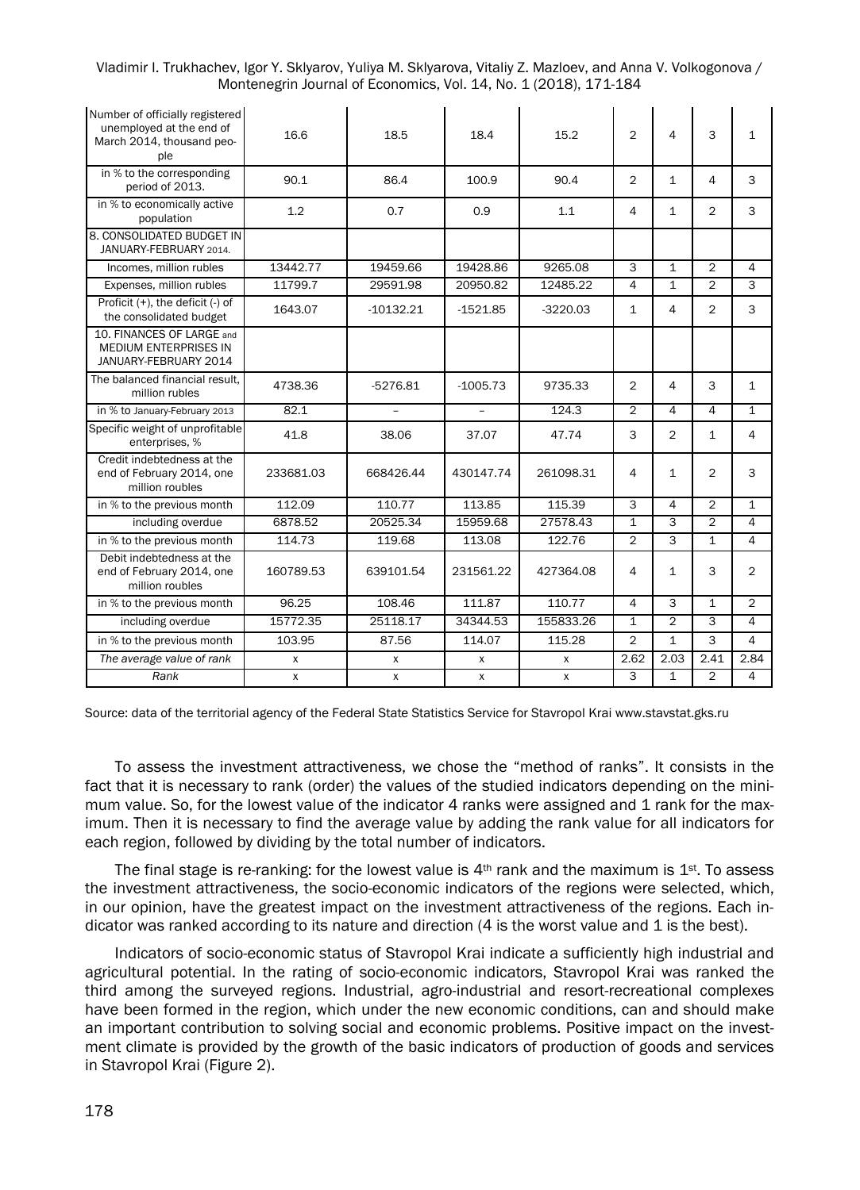| Vladimir I. Trukhachev, Igor Y. Sklyarov, Yuliya M. Sklyarova, Vitaliy Z. Mazloev, and Anna V. Volkogonova / |  |
|--------------------------------------------------------------------------------------------------------------|--|
| Montenegrin Journal of Economics, Vol. 14, No. 1 (2018), 171-184                                             |  |

| Number of officially registered<br>unemployed at the end of<br>March 2014, thousand peo-<br>ple | 16.6      | 18.5        | 18.4         | 15.2         | $\mathfrak{D}$ | 4                       | 3              | $\mathbf{1}$   |
|-------------------------------------------------------------------------------------------------|-----------|-------------|--------------|--------------|----------------|-------------------------|----------------|----------------|
| in % to the corresponding<br>period of 2013.                                                    | 90.1      | 86.4        | 100.9        | 90.4         | $\overline{2}$ | $\mathbf{1}$            | 4              | 3              |
| in % to economically active<br>population                                                       | 1.2       | 0.7         | 0.9          | 1.1          | 4              | $\mathbf{1}$            | $\overline{2}$ | 3              |
| 8. CONSOLIDATED BUDGET IN<br>JANUARY-FEBRUARY 2014.                                             |           |             |              |              |                |                         |                |                |
| Incomes, million rubles                                                                         | 13442.77  | 19459.66    | 19428.86     | 9265.08      | 3              | $\mathbf{1}$            | $\overline{2}$ | $\overline{4}$ |
| Expenses, million rubles                                                                        | 11799.7   | 29591.98    | 20950.82     | 12485.22     | 4              | $\mathbf{1}$            | $\overline{2}$ | 3              |
| Proficit $(+)$ , the deficit $(-)$ of<br>the consolidated budget                                | 1643.07   | $-10132.21$ | $-1521.85$   | $-3220.03$   | $\mathbf{1}$   | 4                       | $\overline{2}$ | 3              |
| 10. FINANCES OF LARGE and<br><b>MEDIUM ENTERPRISES IN</b><br>JANUARY-FEBRUARY 2014              |           |             |              |              |                |                         |                |                |
| The balanced financial result.<br>million rubles                                                | 4738.36   | $-5276.81$  | $-1005.73$   | 9735.33      | $\overline{2}$ | 4                       | 3              | $\mathbf{1}$   |
| in % to January-February 2013                                                                   | 82.1      |             | $\equiv$     | 124.3        | $\overline{2}$ | 4                       | $\overline{4}$ | $\mathbf{1}$   |
| Specific weight of unprofitable<br>enterprises, %                                               | 41.8      | 38.06       | 37.07        | 47.74        | 3              | $\overline{2}$          | $\mathbf{1}$   | $\overline{4}$ |
| Credit indebtedness at the<br>end of February 2014, one<br>million roubles                      | 233681.03 | 668426.44   | 430147.74    | 261098.31    | 4              | $\mathbf{1}$            | $\overline{2}$ | 3              |
| in % to the previous month                                                                      | 112.09    | 110.77      | 113.85       | 115.39       | 3              | 4                       | $\overline{2}$ | $\mathbf{1}$   |
| including overdue                                                                               | 6878.52   | 20525.34    | 15959.68     | 27578.43     | $\overline{1}$ | 3                       | $\overline{2}$ | $\overline{4}$ |
| in % to the previous month                                                                      | 114.73    | 119.68      | 113.08       | 122.76       | $\overline{2}$ | $\overline{\mathbf{a}}$ | $\overline{1}$ | 4              |
| Debit indebtedness at the<br>end of February 2014, one<br>million roubles                       | 160789.53 | 639101.54   | 231561.22    | 427364.08    | 4              | $\mathbf{1}$            | 3              | 2              |
| in % to the previous month                                                                      | 96.25     | 108.46      | 111.87       | 110.77       | $\Delta$       | 3                       | $\mathbf{1}$   | $\overline{2}$ |
| including overdue                                                                               | 15772.35  | 25118.17    | 34344.53     | 155833.26    | $\mathbf{1}$   | $\overline{2}$          | 3              | 4              |
| in % to the previous month                                                                      | 103.95    | 87.56       | 114.07       | 115.28       | $\overline{2}$ | $\mathbf{1}$            | 3              | 4              |
| The average value of rank                                                                       | X         | X           | X            | X            | 2.62           | 2.03                    | 2.41           | 2.84           |
| Rank                                                                                            | X         | X           | $\mathsf{x}$ | $\mathsf{x}$ | 3              | $\mathbf{1}$            | $\overline{2}$ | 4              |

Source: data of the territorial agency of the Federal State Statistics Service for Stavropol Krai www.stavstat.gks.ru

To assess the investment attractiveness, we chose the "method of ranks". It consists in the fact that it is necessary to rank (order) the values of the studied indicators depending on the minimum value. So, for the lowest value of the indicator 4 ranks were assigned and 1 rank for the maximum. Then it is necessary to find the average value by adding the rank value for all indicators for each region, followed by dividing by the total number of indicators.

The final stage is re-ranking: for the lowest value is  $4<sup>th</sup>$  rank and the maximum is  $1<sup>st</sup>$ . To assess the investment attractiveness, the socio-economic indicators of the regions were selected, which, in our opinion, have the greatest impact on the investment attractiveness of the regions. Each indicator was ranked according to its nature and direction (4 is the worst value and 1 is the best).

Indicators of socio-economic status of Stavropol Krai indicate a sufficiently high industrial and agricultural potential. In the rating of socio-economic indicators, Stavropol Krai was ranked the third among the surveyed regions. Industrial, agro-industrial and resort-recreational complexes have been formed in the region, which under the new economic conditions, can and should make an important contribution to solving social and economic problems. Positive impact on the investment climate is provided by the growth of the basic indicators of production of goods and services in Stavropol Krai (Figure 2).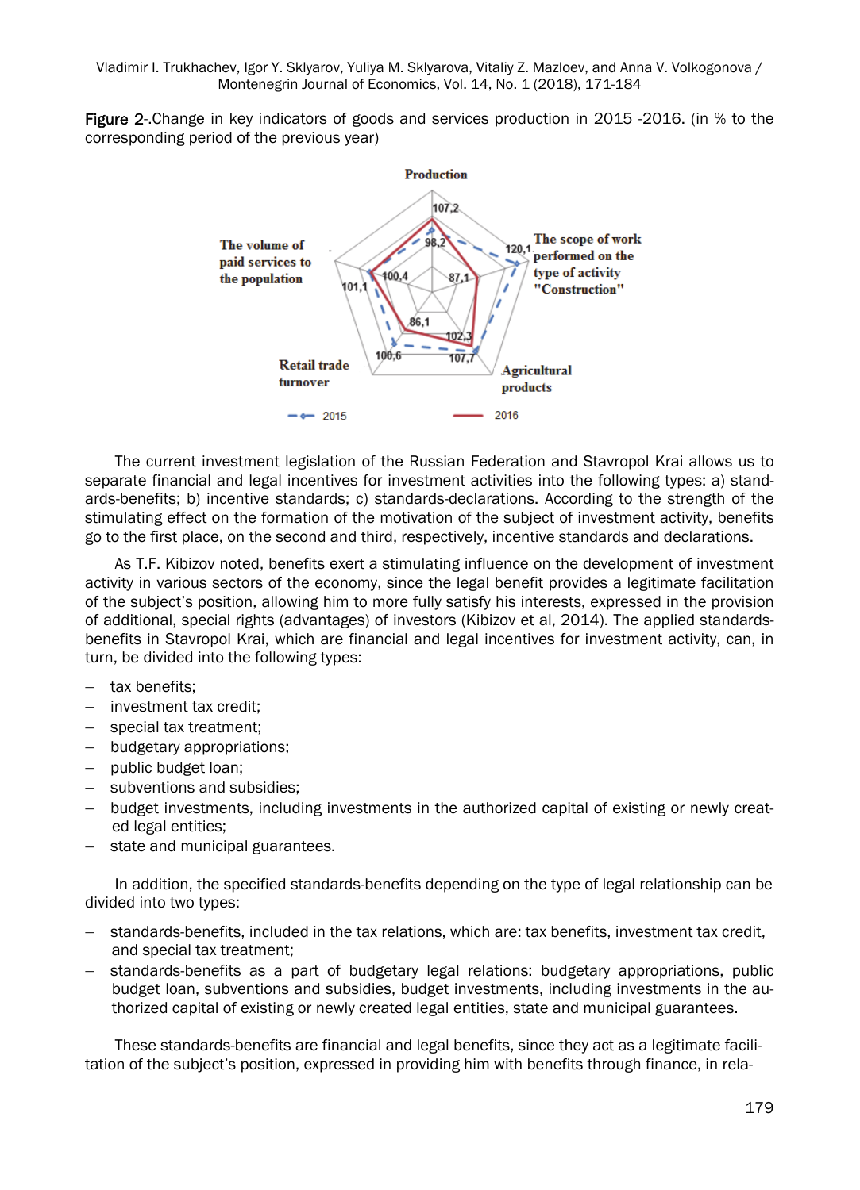Figure 2-.Change in key indicators of goods and services production in 2015 -2016. (in % to the corresponding period of the previous year)



The current investment legislation of the Russian Federation and Stavropol Krai allows us to separate financial and legal incentives for investment activities into the following types: a) standards-benefits; b) incentive standards; c) standards-declarations. According to the strength of the stimulating effect on the formation of the motivation of the subject of investment activity, benefits go to the first place, on the second and third, respectively, incentive standards and declarations.

As T.F. Kibizov noted, benefits exert a stimulating influence on the development of investment activity in various sectors of the economy, since the legal benefit provides a legitimate facilitation of the subject's position, allowing him to more fully satisfy his interests, expressed in the provision of additional, special rights (advantages) of investors (Kibizov et al, 2014). The applied standardsbenefits in Stavropol Krai, which are financial and legal incentives for investment activity, can, in turn, be divided into the following types:

- tax benefits;
- investment tax credit:
- special tax treatment;
- budgetary appropriations;
- public budget loan;
- subventions and subsidies;
- budget investments, including investments in the authorized capital of existing or newly created legal entities;
- $-$  state and municipal guarantees.

In addition, the specified standards-benefits depending on the type of legal relationship can be divided into two types:

- standards-benefits, included in the tax relations, which are: tax benefits, investment tax credit, and special tax treatment;
- standards-benefits as a part of budgetary legal relations: budgetary appropriations, public budget loan, subventions and subsidies, budget investments, including investments in the authorized capital of existing or newly created legal entities, state and municipal guarantees.

These standards-benefits are financial and legal benefits, since they act as a legitimate facilitation of the subject's position, expressed in providing him with benefits through finance, in rela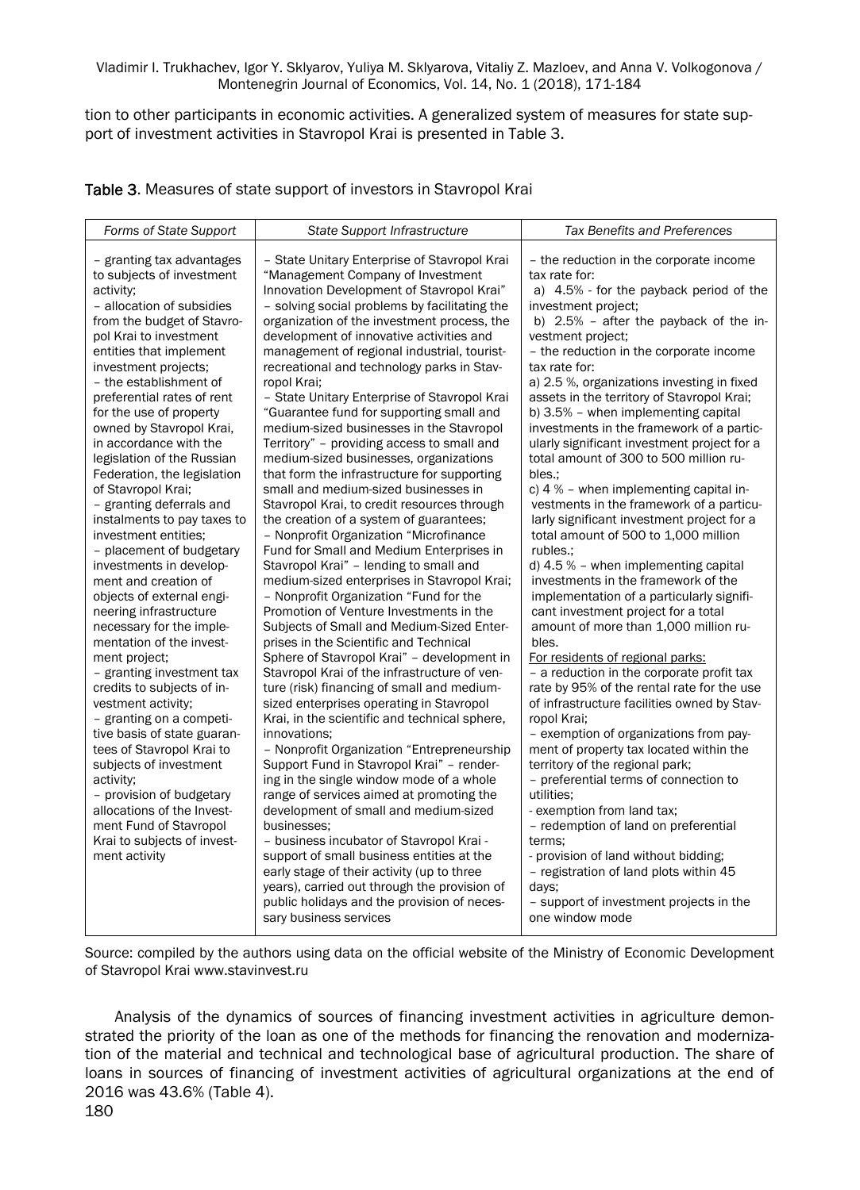tion to other participants in economic activities. A generalized system of measures for state support of investment activities in Stavropol Krai is presented in Table 3.

| Table 3. Measures of state support of investors in Stavropol Krai |  |
|-------------------------------------------------------------------|--|
|-------------------------------------------------------------------|--|

| - the reduction in the corporate income<br>- granting tax advantages<br>- State Unitary Enterprise of Stavropol Krai<br>to subjects of investment<br>"Management Company of Investment<br>tax rate for:<br>Innovation Development of Stavropol Krai"<br>activity;<br>- allocation of subsidies<br>investment project;<br>- solving social problems by facilitating the<br>from the budget of Stavro-<br>organization of the investment process, the<br>development of innovative activities and<br>pol Krai to investment<br>vestment project;<br>- the reduction in the corporate income<br>entities that implement<br>management of regional industrial, tourist-<br>recreational and technology parks in Stav-<br>tax rate for:<br>investment projects;<br>a) 2.5 %, organizations investing in fixed<br>- the establishment of<br>ropol Krai;<br>preferential rates of rent<br>- State Unitary Enterprise of Stavropol Krai<br>assets in the territory of Stavropol Krai;<br>"Guarantee fund for supporting small and<br>for the use of property<br>b) 3.5% - when implementing capital<br>owned by Stavropol Krai,<br>medium-sized businesses in the Stavropol<br>in accordance with the<br>Territory" - providing access to small and                                                                                                                                                                                                                                                                                                                                                                                                                                                                                                                                                                                                                                                                                                                                                                                                                                                                                                                                                                                                                                                                                                                                                                                                                                                                                                                                                                                                                                                                                                                                                                                                                                                                                   | Forms of State Support     | State Support Infrastructure           | <b>Tax Benefits and Preferences</b>                                                                                                                                                                                                                                                                                                                              |
|-------------------------------------------------------------------------------------------------------------------------------------------------------------------------------------------------------------------------------------------------------------------------------------------------------------------------------------------------------------------------------------------------------------------------------------------------------------------------------------------------------------------------------------------------------------------------------------------------------------------------------------------------------------------------------------------------------------------------------------------------------------------------------------------------------------------------------------------------------------------------------------------------------------------------------------------------------------------------------------------------------------------------------------------------------------------------------------------------------------------------------------------------------------------------------------------------------------------------------------------------------------------------------------------------------------------------------------------------------------------------------------------------------------------------------------------------------------------------------------------------------------------------------------------------------------------------------------------------------------------------------------------------------------------------------------------------------------------------------------------------------------------------------------------------------------------------------------------------------------------------------------------------------------------------------------------------------------------------------------------------------------------------------------------------------------------------------------------------------------------------------------------------------------------------------------------------------------------------------------------------------------------------------------------------------------------------------------------------------------------------------------------------------------------------------------------------------------------------------------------------------------------------------------------------------------------------------------------------------------------------------------------------------------------------------------------------------------------------------------------------------------------------------------------------------------------------------------------------------------------------------------------------------------------------------|----------------------------|----------------------------------------|------------------------------------------------------------------------------------------------------------------------------------------------------------------------------------------------------------------------------------------------------------------------------------------------------------------------------------------------------------------|
| Federation, the legislation<br>that form the infrastructure for supporting<br>bles.:<br>of Stavropol Krai;<br>small and medium-sized businesses in<br>c) $4%$ – when implementing capital in-<br>Stavropol Krai, to credit resources through<br>- granting deferrals and<br>larly significant investment project for a<br>instalments to pay taxes to<br>the creation of a system of guarantees;<br>total amount of 500 to 1,000 million<br>investment entities:<br>- Nonprofit Organization "Microfinance<br>Fund for Small and Medium Enterprises in<br>- placement of budgetary<br>rubles.:<br>investments in develop-<br>Stavropol Krai" - lending to small and<br>d) $4.5 %$ – when implementing capital<br>ment and creation of<br>investments in the framework of the<br>medium-sized enterprises in Stavropol Krai;<br>- Nonprofit Organization "Fund for the<br>implementation of a particularly signifi-<br>objects of external engi-<br>neering infrastructure<br>Promotion of Venture Investments in the<br>cant investment project for a total<br>necessary for the imple-<br>Subjects of Small and Medium-Sized Enter-<br>amount of more than 1,000 million ru-<br>mentation of the invest-<br>prises in the Scientific and Technical<br>bles.<br>Sphere of Stavropol Krai" - development in<br>For residents of regional parks:<br>ment project;<br>- granting investment tax<br>Stavropol Krai of the infrastructure of ven-<br>- a reduction in the corporate profit tax<br>ture (risk) financing of small and medium-<br>credits to subjects of in-<br>sized enterprises operating in Stavropol<br>vestment activity;<br>- granting on a competi-<br>Krai, in the scientific and technical sphere,<br>ropol Krai;<br>tive basis of state guaran-<br>innovations:<br>- exemption of organizations from pay-<br>- Nonprofit Organization "Entrepreneurship<br>tees of Stavropol Krai to<br>ment of property tax located within the<br>subjects of investment<br>Support Fund in Stavropol Krai" - render-<br>territory of the regional park;<br>ing in the single window mode of a whole<br>- preferential terms of connection to<br>activity;<br>- provision of budgetary<br>range of services aimed at promoting the<br>utilities:<br>allocations of the Invest-<br>development of small and medium-sized<br>- exemption from land tax;<br>ment Fund of Stavropol<br>- redemption of land on preferential<br>businesses:<br>Krai to subjects of invest-<br>- business incubator of Stavropol Krai -<br>terms:<br>ment activity<br>support of small business entities at the<br>- provision of land without bidding;<br>- registration of land plots within 45<br>early stage of their activity (up to three<br>years), carried out through the provision of<br>days:<br>public holidays and the provision of neces-<br>- support of investment projects in the<br>one window mode<br>sary business services | legislation of the Russian | medium-sized businesses, organizations | a) 4.5% - for the payback period of the<br>b) 2.5% - after the payback of the in-<br>investments in the framework of a partic-<br>ularly significant investment project for a<br>total amount of 300 to 500 million ru-<br>vestments in the framework of a particu-<br>rate by 95% of the rental rate for the use<br>of infrastructure facilities owned by Stav- |

Source: compiled by the authors using data on the official website of the Ministry of Economic Development of Stavropol Krai www.stavinvest.ru

Analysis of the dynamics of sources of financing investment activities in agriculture demonstrated the priority of the loan as one of the methods for financing the renovation and modernization of the material and technical and technological base of agricultural production. The share of loans in sources of financing of investment activities of agricultural organizations at the end of 2016 was 43.6% (Table 4).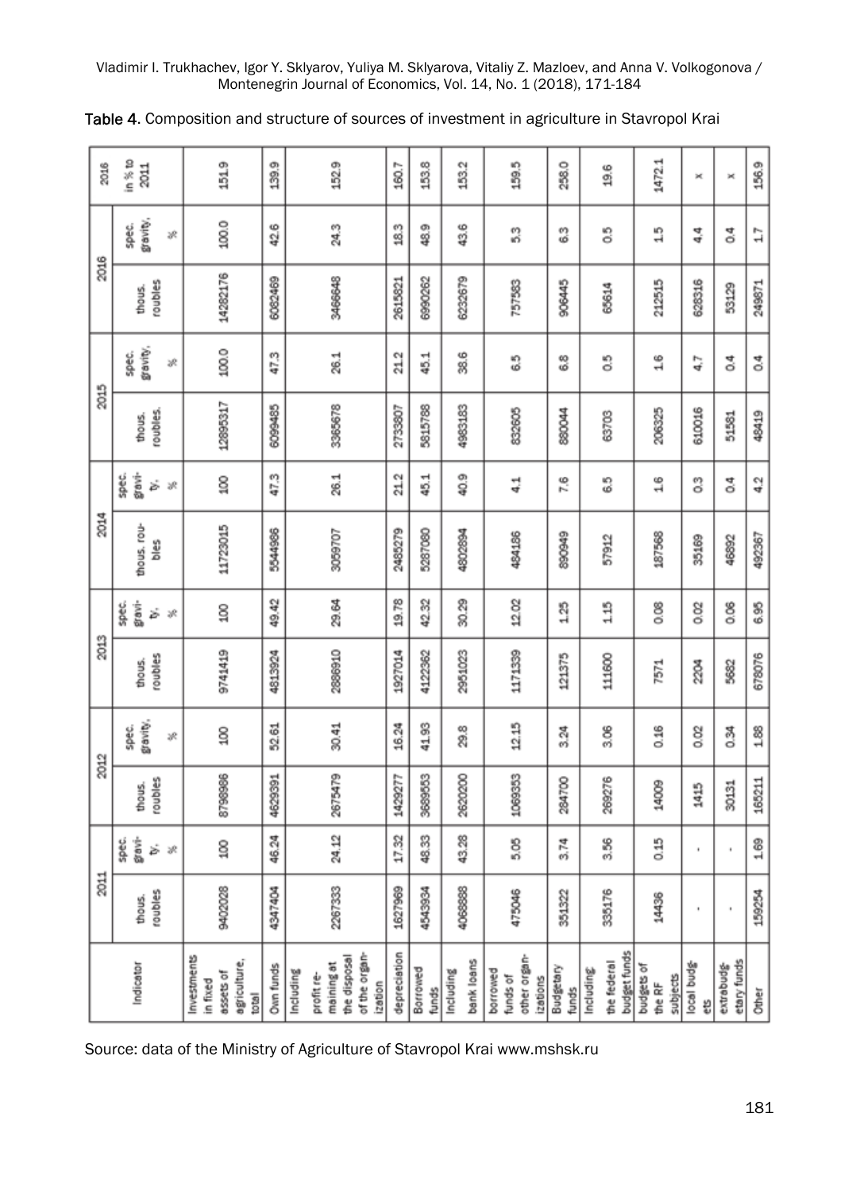| 2016 | in % to<br>2011                         | 151.9                                                         | 139.9     | 152.9                                                                             | 160.7        | 153.8             | 153.2                   | 159.5                                            | 258.0              | 19.6                                     | 1472.1                           | ×                | ×                         | 156.9  |
|------|-----------------------------------------|---------------------------------------------------------------|-----------|-----------------------------------------------------------------------------------|--------------|-------------------|-------------------------|--------------------------------------------------|--------------------|------------------------------------------|----------------------------------|------------------|---------------------------|--------|
|      | gravity,<br>spec.<br>×                  | 100.0                                                         | 42.6      | 24.3                                                                              | 18.3         | 48.9              | 43.6                    | 33                                               | ္မ                 | 3                                        | 1.5                              | 44               | ₫,                        | 17     |
| 2016 | roubles<br>thous.                       | 14282176                                                      | 6082469   | 3466648                                                                           | 2615821      | 6990262           | 6232679                 | 757583                                           | 906445             | 65614                                    | 212515                           | 628316           | 53129                     | 249871 |
|      | gravity,<br>spec.<br>×                  | 100.0                                                         | 47.3      | 26.1                                                                              | 212          | 45.1              | 38.6                    | 3                                                | 83                 | ះ                                        | $^{16}$                          | 4.7              | ै<br>ठ                    | 2q     |
| 2015 | roubles.<br>thous.                      | 12895317                                                      | 6099485   | 3365678                                                                           | 2733807      | 5815788           | 4983183                 | 832605                                           | 880044             | 63703                                    | 206325                           | 610016           | 51581                     | 48419  |
|      | gravi-<br>spec.<br>ż<br>R               | g                                                             | 47.3      | 26.1                                                                              | 21.2         | 45.1              | 40.9                    | 뎧                                                | 7.6                | 6.5                                      | $^{16}$                          | 3                | e4                        | 4.2    |
| 2014 | thous, rou-<br>Sald                     | 11723015                                                      | 5544986   | 3059707                                                                           | 2485279      | 5287080           | 4802894                 | 484186                                           | 890949             | 57912                                    | 187568                           | 35169            | 46892                     | 492367 |
|      | gravi-<br>spec.<br>ż<br>$36\,$          | ន្ទី                                                          | 49.42     | 29.64                                                                             | 19.78        | 42.32             | 30.29                   | 12.02                                            | 1.25               | 115                                      | 80                               | 8g               | 8<br>o.os                 | 6.95   |
| 2013 | roubles<br>thous.                       | 9741419                                                       | 4813924   | 2886910                                                                           | 1927014      | 4122362           | 2951023                 | 1171339                                          | 121375             | 111600                                   | 7571                             | टू<br>द          | 5682                      | 678076 |
|      | gravity.<br>spec.<br>Ŗ                  | g                                                             | 52.61     | 30.41                                                                             | 16.24        | 41.93             | 29.8                    | 12.15                                            | 3.24               | 8.06                                     | 0.16                             | 8g               | 33                        | 188    |
| 2012 | roubles<br>thous.                       | 8798986                                                       | 4629391   | 2675479                                                                           | 1429277      | 3689553           | 2620200                 | 1069353                                          | 284700             | 269276                                   | 14009                            | 1415             | 30131                     | 165211 |
|      | gravi-<br>spec.<br>ż<br>$\mathcal{S}^k$ | g                                                             | 46.24     | 24.12                                                                             | 17.32        | 48.33             | 43.28                   | 5.05                                             | 3.74               | 3.56                                     | 33                               | ٠                | ٠                         | 1.69   |
| 2011 | roubles<br>thous.                       | 9402028                                                       | 4347404   | 2267333                                                                           | 1627969      | 4543934           | 4068888                 | 475046                                           | 351322             | 335176                                   | 14436                            | ٠                | ł                         | 159254 |
|      | Indicator                               | investments<br>agriculture,<br>assets of<br>in fixed<br>total | Own funds | of the organ-<br>the disposal<br>maining at<br>Including<br>profit re-<br>ization | depreciation | Borrowed<br>funds | bank loans<br>Including | other organ-<br>borrowed<br>funds of<br>izations | Budgetary<br>funds | budget funds<br>the federal<br>Including | budgets of<br>subjects<br>the RF | local budg-<br>븺 | etary funds<br>extrabudg- | Other  |

|  |  | Table 4. Composition and structure of sources of investment in agriculture in Stavropol Krai |  |  |  |  |
|--|--|----------------------------------------------------------------------------------------------|--|--|--|--|
|--|--|----------------------------------------------------------------------------------------------|--|--|--|--|

Source: data of the Ministry of Agriculture of Stavropol Krai www.mshsk.ru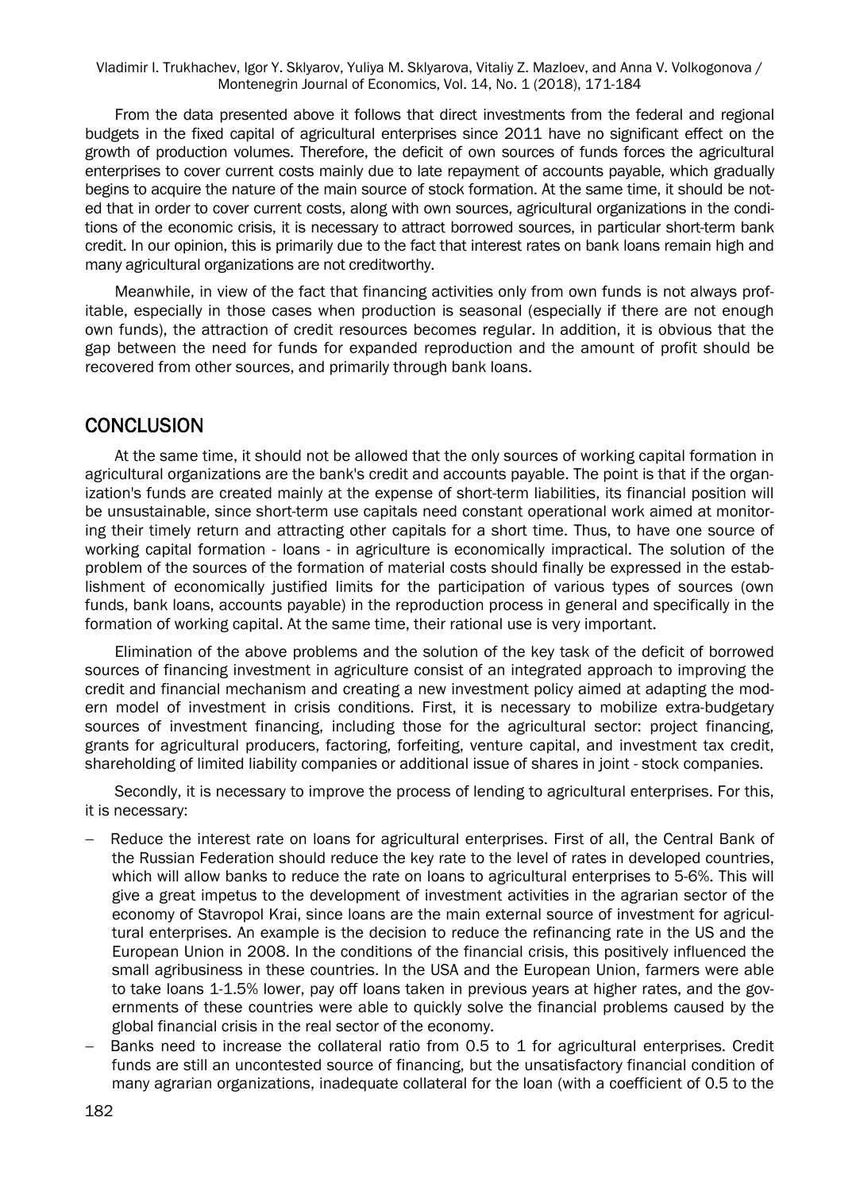From the data presented above it follows that direct investments from the federal and regional budgets in the fixed capital of agricultural enterprises since 2011 have no significant effect on the growth of production volumes. Therefore, the deficit of own sources of funds forces the agricultural enterprises to cover current costs mainly due to late repayment of accounts payable, which gradually begins to acquire the nature of the main source of stock formation. At the same time, it should be noted that in order to cover current costs, along with own sources, agricultural organizations in the conditions of the economic crisis, it is necessary to attract borrowed sources, in particular short-term bank credit. In our opinion, this is primarily due to the fact that interest rates on bank loans remain high and many agricultural organizations are not creditworthy.

Meanwhile, in view of the fact that financing activities only from own funds is not always profitable, especially in those cases when production is seasonal (especially if there are not enough own funds), the attraction of credit resources becomes regular. In addition, it is obvious that the gap between the need for funds for expanded reproduction and the amount of profit should be recovered from other sources, and primarily through bank loans.

#### **CONCLUSION**

At the same time, it should not be allowed that the only sources of working capital formation in agricultural organizations are the bank's credit and accounts payable. The point is that if the organization's funds are created mainly at the expense of short-term liabilities, its financial position will be unsustainable, since short-term use capitals need constant operational work aimed at monitoring their timely return and attracting other capitals for a short time. Thus, to have one source of working capital formation - loans - in agriculture is economically impractical. The solution of the problem of the sources of the formation of material costs should finally be expressed in the establishment of economically justified limits for the participation of various types of sources (own funds, bank loans, accounts payable) in the reproduction process in general and specifically in the formation of working capital. At the same time, their rational use is very important.

Elimination of the above problems and the solution of the key task of the deficit of borrowed sources of financing investment in agriculture consist of an integrated approach to improving the credit and financial mechanism and creating a new investment policy aimed at adapting the modern model of investment in crisis conditions. First, it is necessary to mobilize extra-budgetary sources of investment financing, including those for the agricultural sector: project financing, grants for agricultural producers, factoring, forfeiting, venture capital, and investment tax credit, shareholding of limited liability companies or additional issue of shares in joint - stock companies.

Secondly, it is necessary to improve the process of lending to agricultural enterprises. For this, it is necessary:

- Reduce the interest rate on loans for agricultural enterprises. First of all, the Central Bank of the Russian Federation should reduce the key rate to the level of rates in developed countries, which will allow banks to reduce the rate on loans to agricultural enterprises to 5-6%. This will give a great impetus to the development of investment activities in the agrarian sector of the economy of Stavropol Krai, since loans are the main external source of investment for agricultural enterprises. An example is the decision to reduce the refinancing rate in the US and the European Union in 2008. In the conditions of the financial crisis, this positively influenced the small agribusiness in these countries. In the USA and the European Union, farmers were able to take loans 1-1.5% lower, pay off loans taken in previous years at higher rates, and the governments of these countries were able to quickly solve the financial problems caused by the global financial crisis in the real sector of the economy.
- Banks need to increase the collateral ratio from 0.5 to 1 for agricultural enterprises. Credit funds are still an uncontested source of financing, but the unsatisfactory financial condition of many agrarian organizations, inadequate collateral for the loan (with a coefficient of 0.5 to the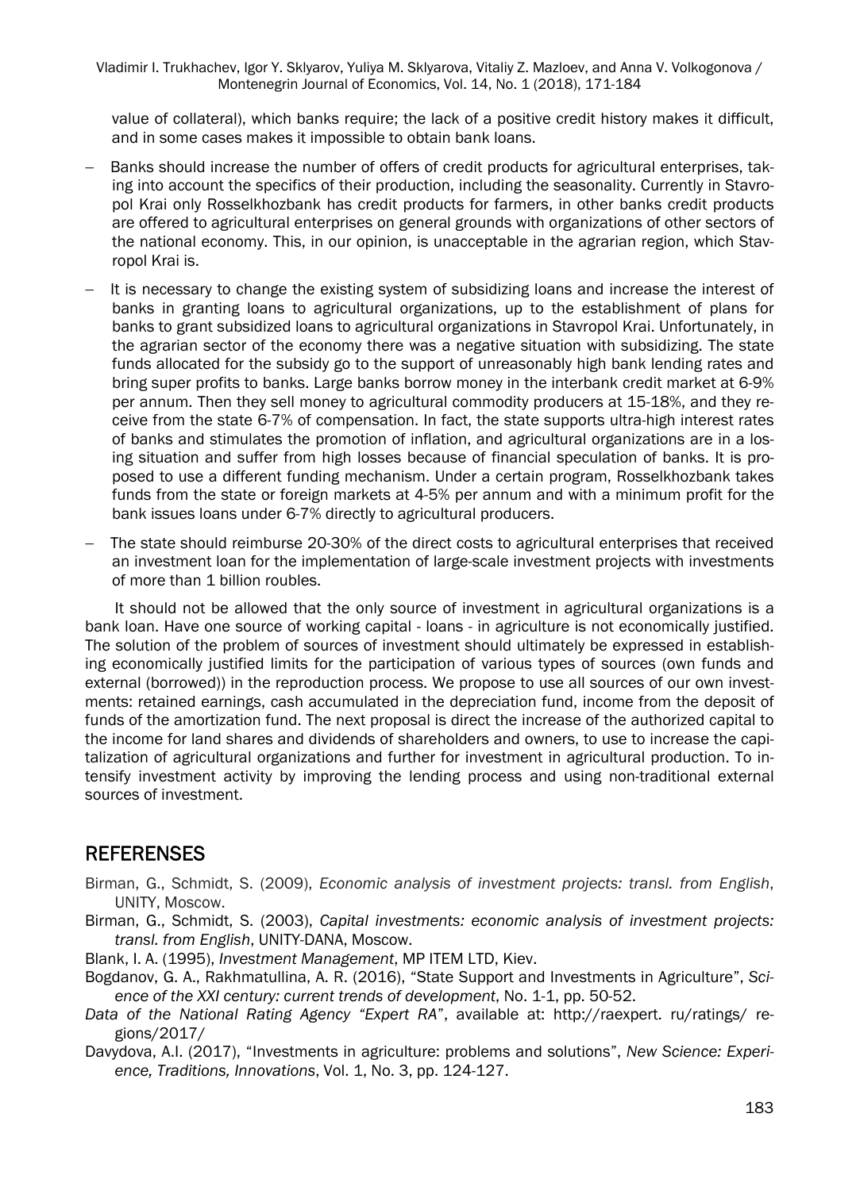value of collateral), which banks require; the lack of a positive credit history makes it difficult, and in some cases makes it impossible to obtain bank loans.

- Banks should increase the number of offers of credit products for agricultural enterprises, taking into account the specifics of their production, including the seasonality. Currently in Stavropol Krai only Rosselkhozbank has credit products for farmers, in other banks credit products are offered to agricultural enterprises on general grounds with organizations of other sectors of the national economy. This, in our opinion, is unacceptable in the agrarian region, which Stavropol Krai is.
- It is necessary to change the existing system of subsidizing loans and increase the interest of banks in granting loans to agricultural organizations, up to the establishment of plans for banks to grant subsidized loans to agricultural organizations in Stavropol Krai. Unfortunately, in the agrarian sector of the economy there was a negative situation with subsidizing. The state funds allocated for the subsidy go to the support of unreasonably high bank lending rates and bring super profits to banks. Large banks borrow money in the interbank credit market at 6-9% per annum. Then they sell money to agricultural commodity producers at 15-18%, and they receive from the state 6-7% of compensation. In fact, the state supports ultra-high interest rates of banks and stimulates the promotion of inflation, and agricultural organizations are in a losing situation and suffer from high losses because of financial speculation of banks. It is proposed to use a different funding mechanism. Under a certain program, Rosselkhozbank takes funds from the state or foreign markets at 4-5% per annum and with a minimum profit for the bank issues loans under 6-7% directly to agricultural producers.
- The state should reimburse 20-30% of the direct costs to agricultural enterprises that received an investment loan for the implementation of large-scale investment projects with investments of more than 1 billion roubles.

It should not be allowed that the only source of investment in agricultural organizations is a bank loan. Have one source of working capital - loans - in agriculture is not economically justified. The solution of the problem of sources of investment should ultimately be expressed in establishing economically justified limits for the participation of various types of sources (own funds and external (borrowed)) in the reproduction process. We propose to use all sources of our own investments: retained earnings, cash accumulated in the depreciation fund, income from the deposit of funds of the amortization fund. The next proposal is direct the increase of the authorized capital to the income for land shares and dividends of shareholders and owners, to use to increase the capitalization of agricultural organizations and further for investment in agricultural production. To intensify investment activity by improving the lending process and using non-traditional external sources of investment.

#### **REFERENSES**

- Birman, G., Schmidt, S. (2009), *Economic analysis of investment projects: transl. from English*, UNITY, Moscow.
- Birman, G., Schmidt, S. (2003), *Capital investments: economic analysis of investment projects: transl. from English*, UNITY-DANA, Moscow.
- Blank, I. A. (1995), *Investment Management*, MP ITEM LTD, Kiev.
- Bogdanov, G. A., Rakhmatullina, A. R. (2016), "State Support and Investments in Agriculture", *Science of the XXI century: current trends of development*, No. 1-1, pp. 50-52.
- *Data of the National Rating Agency "Expert RA*", available at: http://raexpert. ru/ratings/ regions/2017/
- Davydova, A.I. (2017), "Investments in agriculture: problems and solutions", *New Science: Experience, Traditions, Innovations*, Vol. 1, No. 3, pp. 124-127.